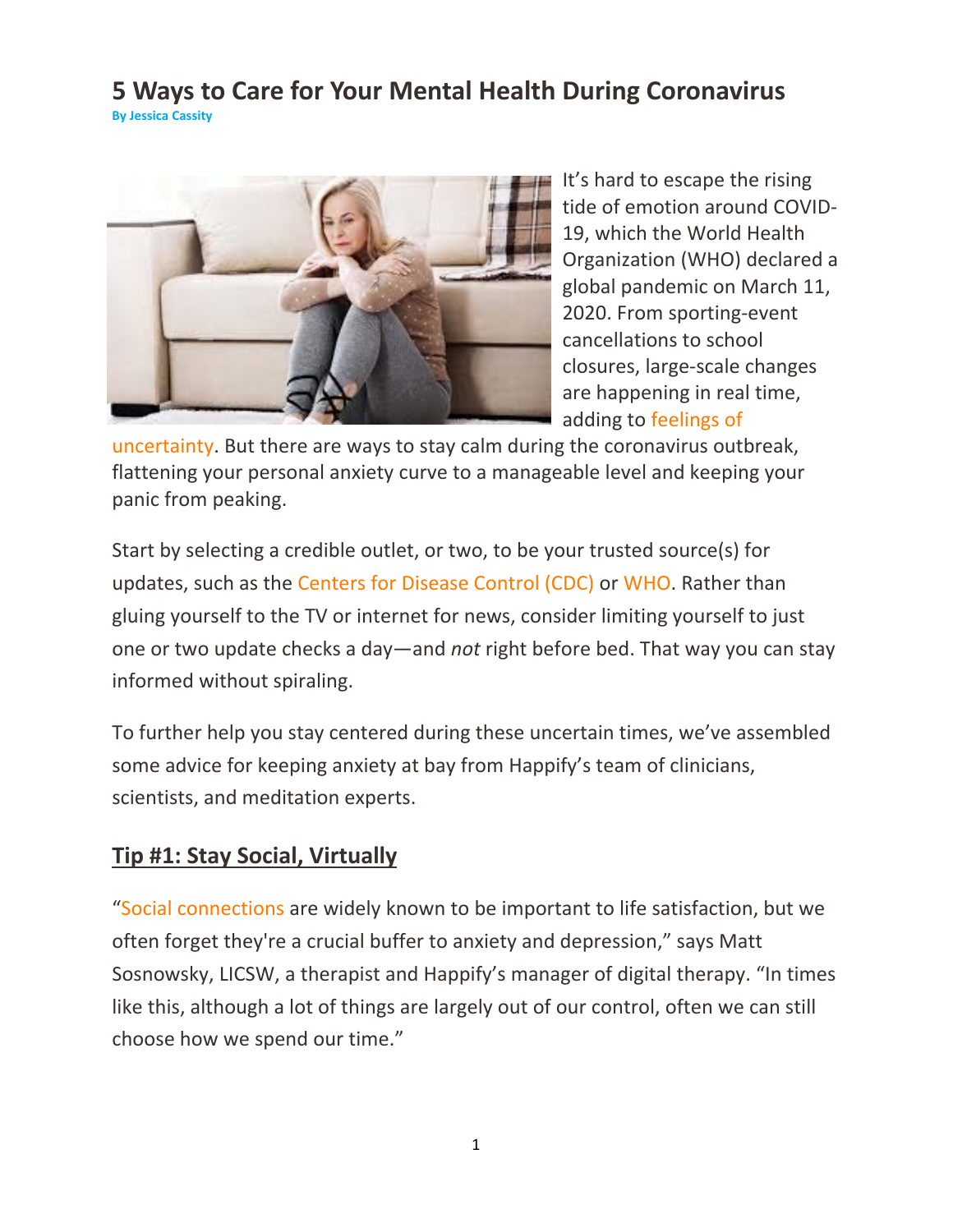#### **5 Ways to Care for Your Mental Health During Coronavirus By Jessica Cassity**



It's hard to escape the rising tide of emotion around COVID‐ 19, which the World Health Organization (WHO) declared a global pandemic on March 11, 2020. From sporting‐event cancellations to school closures, large‐scale changes are happening in real time, adding to feelings of

uncertainty. But there are ways to stay calm during the coronavirus outbreak, flattening your personal anxiety curve to a manageable level and keeping your panic from peaking.

Start by selecting a credible outlet, or two, to be your trusted source(s) for updates, such as the Centers for Disease Control (CDC) or WHO. Rather than gluing yourself to the TV or internet for news, consider limiting yourself to just one or two update checks a day—and *not* right before bed. That way you can stay informed without spiraling.

To further help you stay centered during these uncertain times, we've assembled some advice for keeping anxiety at bay from Happify's team of clinicians, scientists, and meditation experts.

## **Tip #1: Stay Social, Virtually**

"Social connections are widely known to be important to life satisfaction, but we often forget they're a crucial buffer to anxiety and depression," says Matt Sosnowsky, LICSW, a therapist and Happify's manager of digital therapy. "In times like this, although a lot of things are largely out of our control, often we can still choose how we spend our time."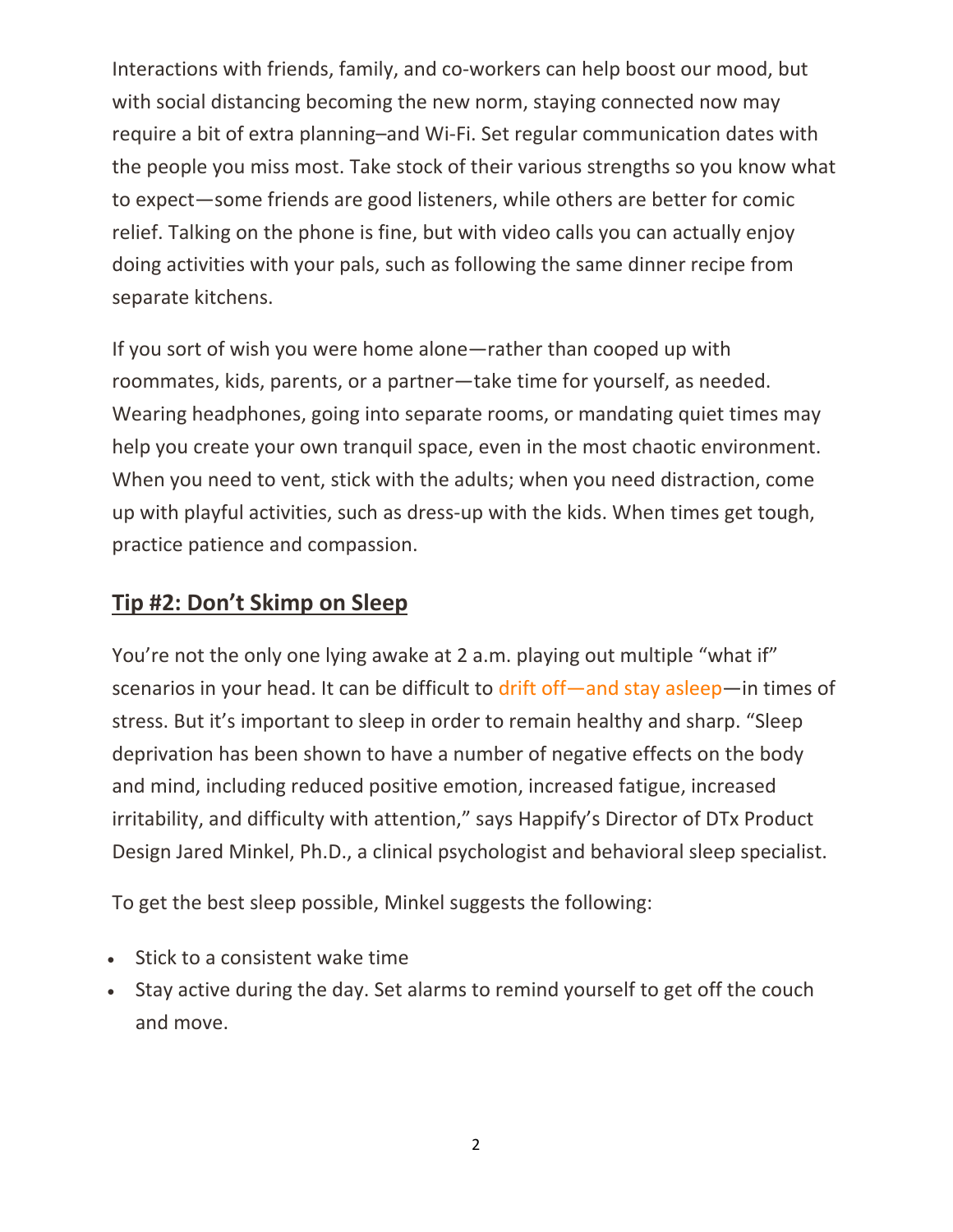Interactions with friends, family, and co-workers can help boost our mood, but with social distancing becoming the new norm, staying connected now may require a bit of extra planning–and Wi‐Fi. Set regular communication dates with the people you miss most. Take stock of their various strengths so you know what to expect—some friends are good listeners, while others are better for comic relief. Talking on the phone is fine, but with video calls you can actually enjoy doing activities with your pals, such as following the same dinner recipe from separate kitchens.

If you sort of wish you were home alone—rather than cooped up with roommates, kids, parents, or a partner—take time for yourself, as needed. Wearing headphones, going into separate rooms, or mandating quiet times may help you create your own tranquil space, even in the most chaotic environment. When you need to vent, stick with the adults; when you need distraction, come up with playful activities, such as dress‐up with the kids. When times get tough, practice patience and compassion.

#### **Tip #2: Don't Skimp on Sleep**

You're not the only one lying awake at 2 a.m. playing out multiple "what if" scenarios in your head. It can be difficult to drift off—and stay asleep—in times of stress. But it's important to sleep in order to remain healthy and sharp. "Sleep deprivation has been shown to have a number of negative effects on the body and mind, including reduced positive emotion, increased fatigue, increased irritability, and difficulty with attention," says Happify's Director of DTx Product Design Jared Minkel, Ph.D., a clinical psychologist and behavioral sleep specialist.

To get the best sleep possible, Minkel suggests the following:

- Stick to a consistent wake time
- Stay active during the day. Set alarms to remind yourself to get off the couch and move.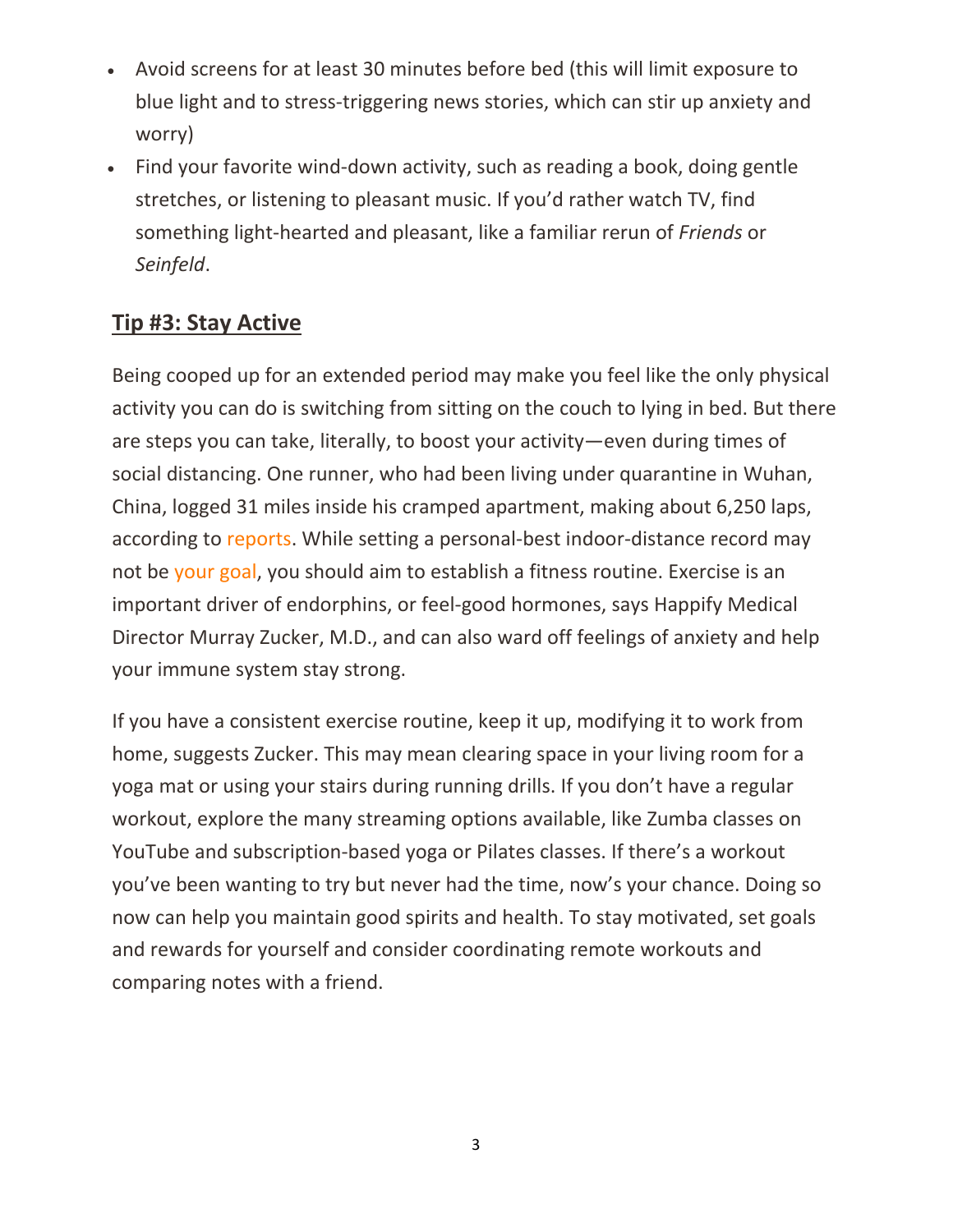- Avoid screens for at least 30 minutes before bed (this will limit exposure to blue light and to stress‐triggering news stories, which can stir up anxiety and worry)
- Find your favorite wind‐down activity, such as reading a book, doing gentle stretches, or listening to pleasant music. If you'd rather watch TV, find something light‐hearted and pleasant, like a familiar rerun of *Friends* or *Seinfeld*.

# **Tip #3: Stay Active**

Being cooped up for an extended period may make you feel like the only physical activity you can do is switching from sitting on the couch to lying in bed. But there are steps you can take, literally, to boost your activity—even during times of social distancing. One runner, who had been living under quarantine in Wuhan, China, logged 31 miles inside his cramped apartment, making about 6,250 laps, according to reports. While setting a personal‐best indoor‐distance record may not be your goal, you should aim to establish a fitness routine. Exercise is an important driver of endorphins, or feel‐good hormones, says Happify Medical Director Murray Zucker, M.D., and can also ward off feelings of anxiety and help your immune system stay strong.

If you have a consistent exercise routine, keep it up, modifying it to work from home, suggests Zucker. This may mean clearing space in your living room for a yoga mat or using your stairs during running drills. If you don't have a regular workout, explore the many streaming options available, like Zumba classes on YouTube and subscription‐based yoga or Pilates classes. If there's a workout you've been wanting to try but never had the time, now's your chance. Doing so now can help you maintain good spirits and health. To stay motivated, set goals and rewards for yourself and consider coordinating remote workouts and comparing notes with a friend.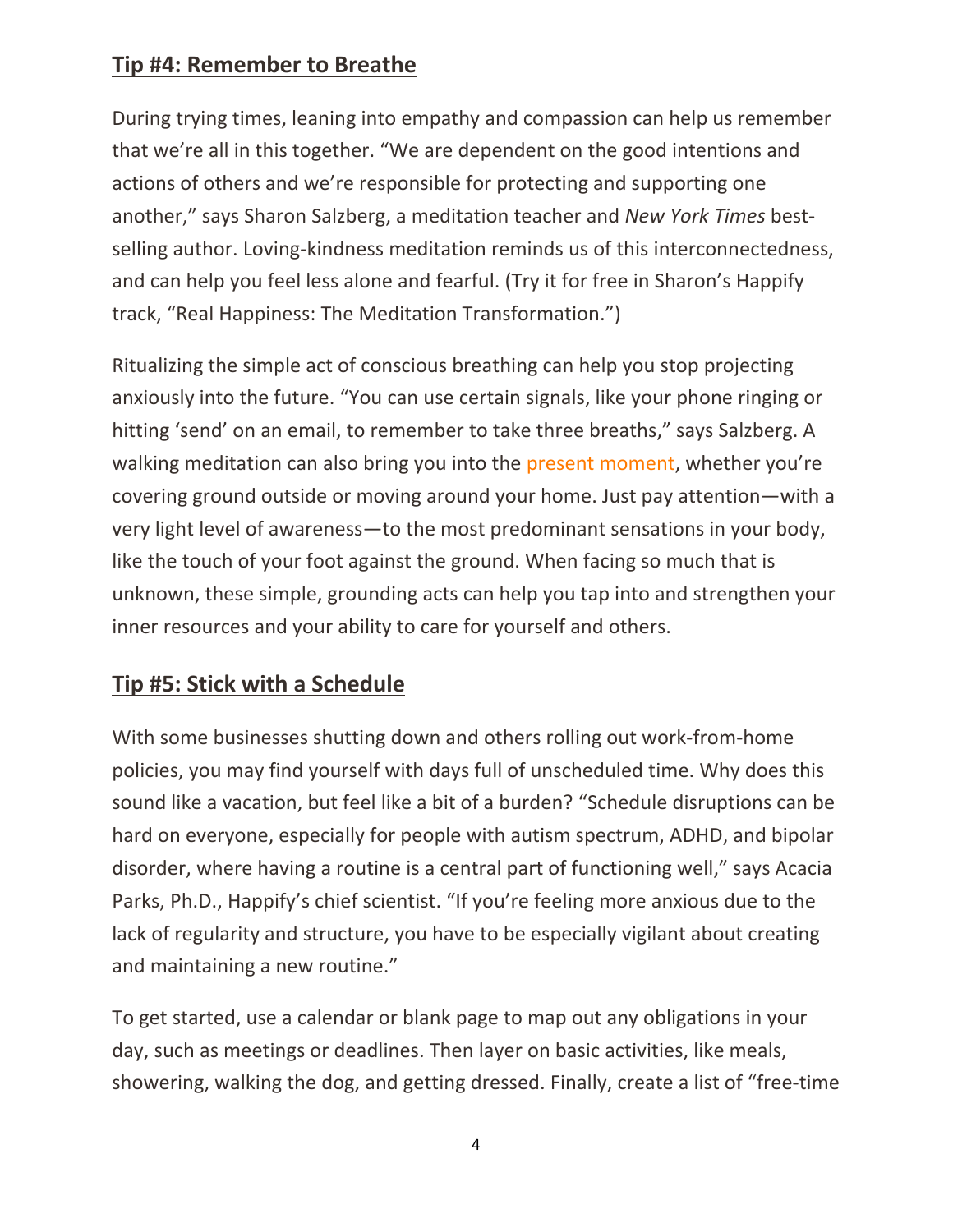### **Tip #4: Remember to Breathe**

During trying times, leaning into empathy and compassion can help us remember that we're all in this together. "We are dependent on the good intentions and actions of others and we're responsible for protecting and supporting one another," says Sharon Salzberg, a meditation teacher and *New York Times* best‐ selling author. Loving-kindness meditation reminds us of this interconnectedness, and can help you feel less alone and fearful. (Try it for free in Sharon's Happify track, "Real Happiness: The Meditation Transformation.")

Ritualizing the simple act of conscious breathing can help you stop projecting anxiously into the future. "You can use certain signals, like your phone ringing or hitting 'send' on an email, to remember to take three breaths," says Salzberg. A walking meditation can also bring you into the present moment, whether you're covering ground outside or moving around your home. Just pay attention—with a very light level of awareness—to the most predominant sensations in your body, like the touch of your foot against the ground. When facing so much that is unknown, these simple, grounding acts can help you tap into and strengthen your inner resources and your ability to care for yourself and others.

# **Tip #5: Stick with a Schedule**

With some businesses shutting down and others rolling out work‐from‐home policies, you may find yourself with days full of unscheduled time. Why does this sound like a vacation, but feel like a bit of a burden? "Schedule disruptions can be hard on everyone, especially for people with autism spectrum, ADHD, and bipolar disorder, where having a routine is a central part of functioning well," says Acacia Parks, Ph.D., Happify's chief scientist. "If you're feeling more anxious due to the lack of regularity and structure, you have to be especially vigilant about creating and maintaining a new routine."

To get started, use a calendar or blank page to map out any obligations in your day, such as meetings or deadlines. Then layer on basic activities, like meals, showering, walking the dog, and getting dressed. Finally, create a list of "free‐time